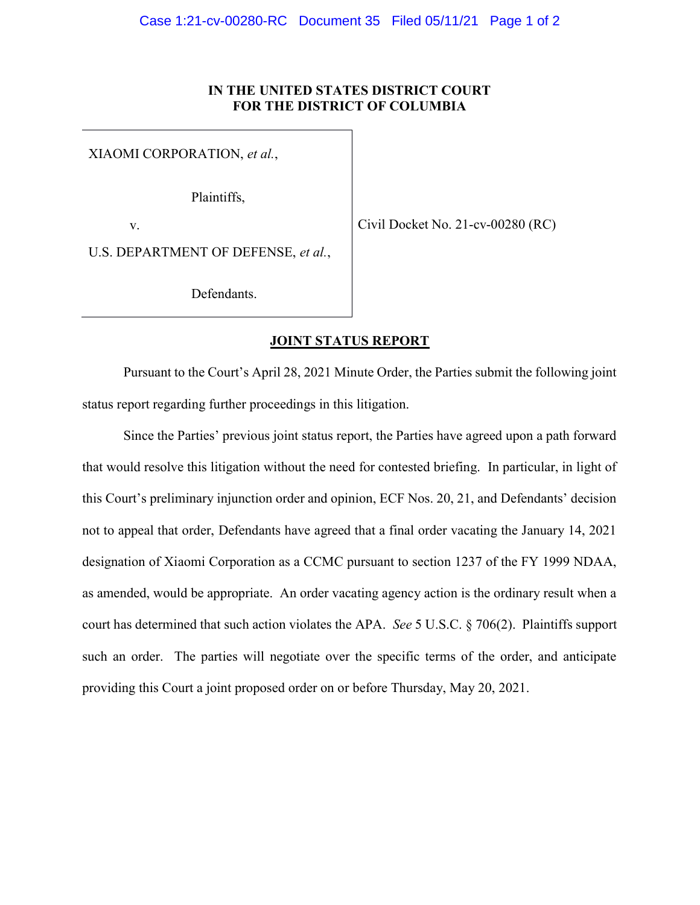## IN THE UNITED STATES DISTRICT COURT FOR THE DISTRICT OF COLUMBIA

XIAOMI CORPORATION, et al.,

Plaintiffs,

v.

Civil Docket No. 21-cv-00280 (RC)

U.S. DEPARTMENT OF DEFENSE, et al.,

Defendants.

## JOINT STATUS REPORT

Pursuant to the Court's April 28, 2021 Minute Order, the Parties submit the following joint status report regarding further proceedings in this litigation.

Since the Parties' previous joint status report, the Parties have agreed upon a path forward that would resolve this litigation without the need for contested briefing. In particular, in light of this Court's preliminary injunction order and opinion, ECF Nos. 20, 21, and Defendants' decision not to appeal that order, Defendants have agreed that a final order vacating the January 14, 2021 designation of Xiaomi Corporation as a CCMC pursuant to section 1237 of the FY 1999 NDAA, as amended, would be appropriate. An order vacating agency action is the ordinary result when a court has determined that such action violates the APA. See 5 U.S.C. § 706(2). Plaintiffs support such an order. The parties will negotiate over the specific terms of the order, and anticipate providing this Court a joint proposed order on or before Thursday, May 20, 2021.